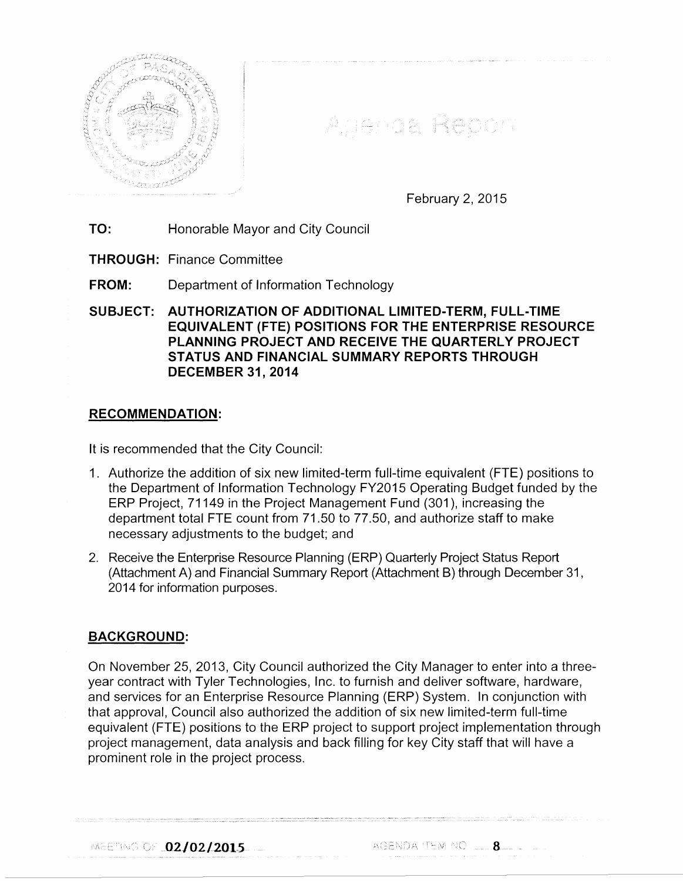

Agenda Report

February 2, 2015

TO: Honorable Mayor and City Council

THROUGH: Finance Committee

FROM: Department of Information Technology

SUBJECT: AUTHORIZATION OF ADDITIONAL LIMITED-TERM, FULL-TIME EQUIVALENT (FTE) POSITIONS FOR THE ENTERPRISE RESOURCE PLANNING PROJECT AND RECEIVE THE QUARTERLY PROJECT STATUS AND FINANCIAL SUMMARY REPORTS THROUGH DECEMBER 31,2014

## RECOMMENDATION:

It is recommended that the City Council:

- 1. Authorize the addition of six new limited-term full-time equivalent (FTE) positions to the Department of Information Technology FY2015 Operating Budget funded by the ERP Project, 71149 in the Project Management Fund (301 ), increasing the department total FTE count from 71.50 to 77.50, and authorize staff to make necessary adjustments to the budget; and
- 2. Receive the Enterprise Resource Planning (ERP) Quarterly Project Status Report (Attachment A) and Financial Summary Report (Attachment B) through December 31, 2014 for information purposes.

## BACKGROUND:

On November 25, 2013, City Council authorized the City Manager to enter into a threeyear contract with Tyler Technologies, Inc. to furnish and deliver software, hardware, and services for an Enterprise Resource Planning (ERP) System. In conjunction with that approval, Council also authorized the addition of six new limited-term full-time equivalent (FTE) positions to the ERP project to support project implementation through project management, data analysis and back filling for key City staff that will have a prominent role in the project process.

MEETING OF  $\sqrt{02/02/2015}$  agenda item no  $\sqrt{0.25}$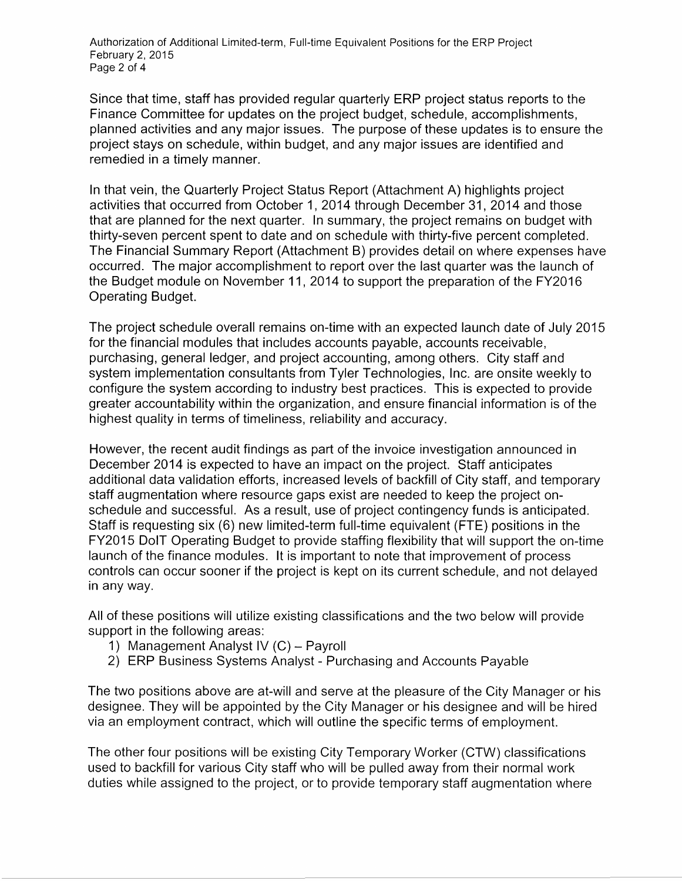Authorization of Additional Limited-term, Full-time Equivalent Positions for the ERP Project February 2, 2015 Page 2 of 4

Since that time, staff has provided regular quarterly ERP project status reports to the Finance Committee for updates on the project budget, schedule, accomplishments, planned activities and any major issues. The purpose of these updates is to ensure the project stays on schedule, within budget, and any major issues are identified and remedied in a timely manner.

In that vein, the Quarterly Project Status Report (Attachment A) highlights project activities that occurred from October 1, 2014 through December 31, 2014 and those that are planned for the next quarter. In summary, the project remains on budget with thirty-seven percent spent to date and on schedule with thirty-five percent completed. The Financial Summary Report (Attachment B) provides detail on where expenses have occurred. The major accomplishment to report over the last quarter was the launch of the Budget module on November 11, 2014 to support the preparation of the FY2016 Operating Budget.

The project schedule overall remains on-time with an expected launch date of July 2015 for the financial modules that includes accounts payable, accounts receivable, purchasing, general ledger, and project accounting, among others. City staff and system implementation consultants from Tyler Technologies, Inc. are onsite weekly to configure the system according to industry best practices. This is expected to provide greater accountability within the organization, and ensure financial information is of the highest quality in terms of timeliness, reliability and accuracy.

However, the recent audit findings as part of the invoice investigation announced in December 2014 is expected to have an impact on the project. Staff anticipates additional data validation efforts, increased levels of backfill of City staff, and temporary staff augmentation where resource gaps exist are needed to keep the project onschedule and successful. As a result, use of project contingency funds is anticipated. Staff is requesting six (6) new limited-term full-time equivalent (FTE) positions in the FY2015 DolT Operating Budget to provide staffing flexibility that will support the on-time launch of the finance modules. It is important to note that improvement of process controls can occur sooner if the project is kept on its current schedule, and not delayed in any way.

All of these positions will utilize existing classifications and the two below will provide support in the following areas:

- 1) Management Analyst IV (C)- Payroll
- 2) ERP Business Systems Analyst Purchasing and Accounts Payable

The two positions above are at-will and serve at the pleasure of the City Manager or his designee. They will be appointed by the City Manager or his designee and will be hired via an employment contract, which will outline the specific terms of employment.

The other four positions will be existing City Temporary Worker (CTW) classifications used to backfill for various City staff who will be pulled away from their normal work duties while assigned to the project, or to provide temporary staff augmentation where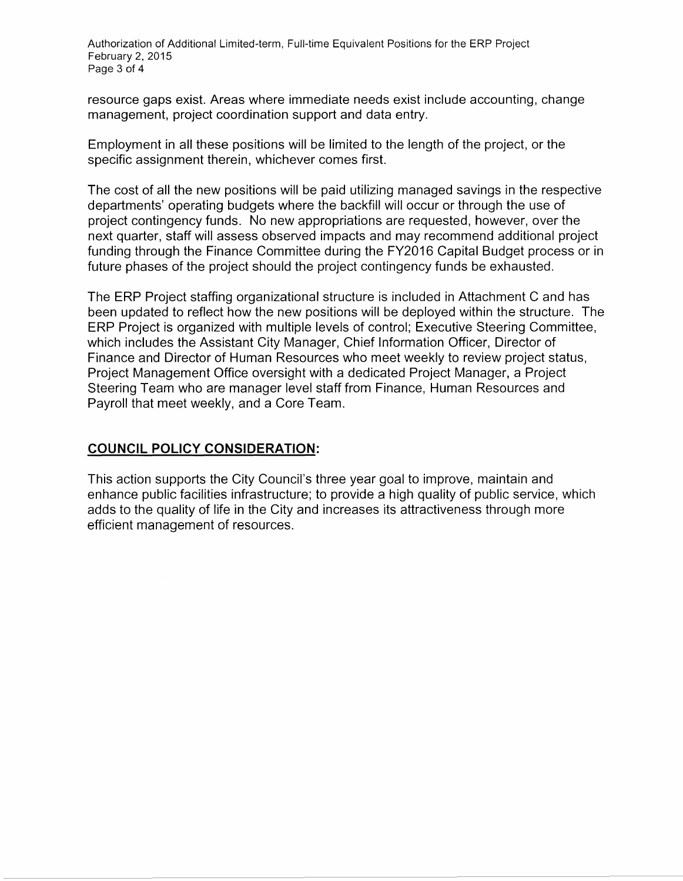Authorization of Additional Limited-term, Full-time Equivalent Positions for the ERP Project February 2, 2015 Page 3 of 4

resource gaps exist. Areas where immediate needs exist include accounting, change management, project coordination support and data entry.

Employment in all these positions will be limited to the length of the project, or the specific assignment therein, whichever comes first.

The cost of all the new positions will be paid utilizing managed savings in the respective departments' operating budgets where the backfill will occur or through the use of project contingency funds. No new appropriations are requested, however, over the next quarter, staff will assess observed impacts and may recommend additional project funding through the Finance Committee during the FY2016 Capital Budget process or in future phases of the project should the project contingency funds be exhausted.

The ERP Project staffing organizational structure is included in Attachment C and has been updated to reflect how the new positions will be deployed within the structure. The ERP Project is organized with multiple levels of control; Executive Steering Committee, which includes the Assistant City Manager, Chief Information Officer, Director of Finance and Director of Human Resources who meet weekly to review project status, Project Management Office oversight with a dedicated Project Manager, a Project Steering Team who are manager level staff from Finance, Human Resources and Payroll that meet weekly, and a Core Team.

## **COUNCIL POLICY CONSIDERATION:**

This action supports the City Council's three year goal to improve, maintain and enhance public facilities infrastructure; to provide a high quality of public service, which adds to the quality of life in the City and increases its attractiveness through more efficient management of resources.